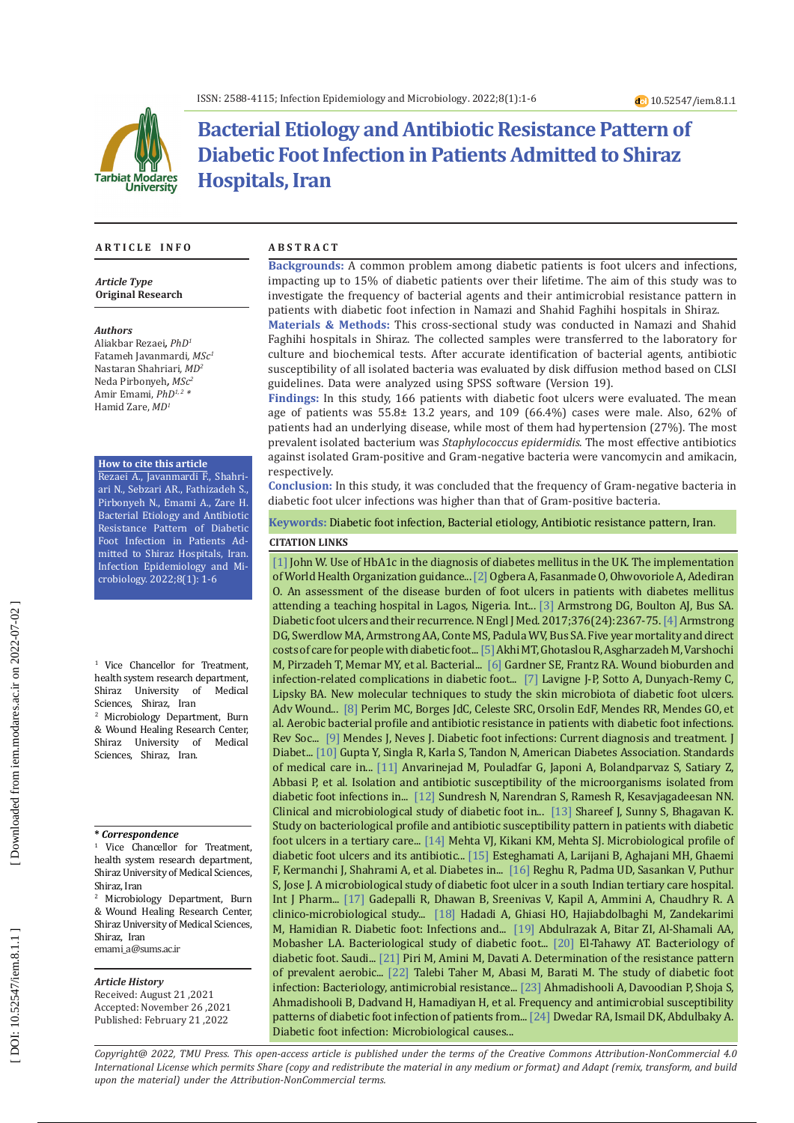

# **Bacterial Etiology and Antibiotic Resistance Pattern of Diabetic Foot Infection in Patients Admitted to Shiraz Hospitals, Iran**

### **A R T I C L E I N F O A B S T R A C T**

*Article Type* **Original Research**

#### *Authors*

Aliakbar Rezaei*, PhD 1* Fatameh Javanmardi*, MSc 1* Nastaran Shahriari*, MD 2* Neda Pirbonyeh*, MSc2* Amir Emami, *PhD1, 2 \** Hamid Zare, *MD 1*

#### **How to cite this article**

Rezaei A., Javanmardi F., Shahri ari N., Sebzari AR., Fathizadeh S., Pirbonyeh N., Emami A., Zare H. Bacterial Etiology and Antibiotic Resistance Pattern of Diabetic Foot Infection in Patients Ad mitted to Shiraz Hospitals, Iran. Infection Epidemiology and Mi crobiology. 2022;8(1): 1-6

1 Vice Chancellor for Treatment, health system research department,<br>Shiraz University of Medical Shiraz University of Sciences, Shiraz, Iran 2 Microbiology Department, Burn & Wound Healing Research Center,<br>Shiraz – University of Medical Shiraz University of Sciences, Shiraz, Iran.

#### **\*** *Correspondence*

<sup>1</sup> Vice Chancellor for Treatment, health system research department, Shiraz University of Medical Sciences, Shiraz, Iran

2 Microbiology Department, Burn & Wound Healing Research Center, Shiraz University of Medical Sciences, Shiraz, Iran emami\_a@sums.ac.ir

#### *Article History*

Received: August 21 ,2021 Accepted: November 26 ,2021 Published: February 21 ,2022

**Backgrounds:** A common problem among diabetic patients is foot ulcers and infections, impacting up to 15% of diabetic patients over their lifetime. The aim of this study was to investigate the frequency of bacterial agents and their antimicrobial resistance pattern in patients with diabetic foot infection in Namazi and Shahid Faghihi hospitals in Shiraz.

**Materials & Methods:** This cross-sectional study was conducted in Namazi and Shahid Faghihi hospitals in Shiraz. The collected samples were transferred to the laboratory for culture and biochemical tests. After accurate identification of bacterial agents, antibiotic susceptibility of all isolated bacteria was evaluated by disk diffusion method based on CLSI guidelines. Data were analyzed using SPSS software (Version 19).

**Findings:** In this study, 166 patients with diabetic foot ulcers were evaluated. The mean age of patients was  $55.8\pm 13.2$  years, and  $109$  (66.4%) cases were male. Also, 62% of patients had an underlying disease, while most of them had hypertension (27%). The most prevalent isolated bacterium was *Staphylococcus epidermidis*. The most effective antibiotics against isolated Gram-positive and Gram-negative bacteria were vancomycin and amikacin, respectively.

**Conclusion:** In this study, it was concluded that the frequency of Gram-negative bacteria in diabetic foot ulcer infections was higher than that of Gram-positive bacteria.

**Keywords:** Diabetic foot infection, Bacterial etiology, Antibiotic resistance pattern, Iran .

## **CITATION LINKS**

[\[1\]](https://europepmc.org/article/med/22957983) John W. Use of HbA1c in the diagnosis of diabetes mellitus in the UK. The implementation of World Health Organization guidance... [\[2\]](https://pubmed.ncbi.nlm.nih.gov/17088600/) Ogbera A, Fasanmade O, Ohwovoriole A, Adediran O. An assessment of the disease burden of foot ulcers in patients with diabetes mellitus attending a teaching hospital in Lagos, Nigeria. Int... [\[3\]](https://www.nejm.org/doi/full/10.1056/NEJMra1615439) Armstrong DG, Boulton AJ, Bus SA. Diabetic foot ulcers and their recurrence. N Engl J Med. 2017;376(24):2367-75. [\[4\] A](https://jfootankleres.biomedcentral.com/articles/10.1186/s13047-020-00383-2)rmstrong DG, Swerdlow MA, Armstrong AA, Conte MS, Padula WV, Bus SA. Five year mortality and direct costs of care for people with diabetic foot... [\[5\]](https://www.ncbi.nlm.nih.gov/pmc/articles/pmc4332275/) Akhi MT, Ghotaslou R, Asgharzadeh M, Varshochi M, Pirzadeh T, Memar MY, et al. Bacterial... [\[6\]](https://journals.sagepub.com/doi/abs/10.1177/1099800408319056) Gardner SE, Frantz RA. Wound bioburden and infection-related complications in diabetic foot... [\[7\]](https://www.liebertpub.com/doi/abs/10.1089/wound.2014.0532) Lavigne J-P, Sotto A, Dunyach-Remy C, Lipsky BA. New molecular techniques to study the skin microbiota of diabetic foot ulcers. Adv Wound... [\[8\]](https://www.scielo.br/j/rsbmt/a/tyCcJZBMYRT8vLfTJvnZ5HK/abstract/?lang=en) Perim MC, Borges JdC, Celeste SRC, Orsolin EdF, Mendes RR, Mendes GO, et al. Aerobic bacterial profile and antibiotic resistance in patients with diabetic foot infections. Rev Soc... [\[9\]](https://www.researchgate.net/profile/Entedhar-Sarhat/post/is_it_necrotizing_fasciitis_complex_diabetic_foot_infection_how_to_reach_early_diagnosis/attachment/5b64f3c74cde265cb653cc44/AS%3A655700808196098%401533342663657/download/v4-i2-a1.pdf) Mendes J, Neves J. Diabetic foot infections: Current diagnosis and treatment. J Diabet... [\[10\]](https://www.ncbi.nlm.nih.gov/pmc/articles/PMC3006050/) Gupta Y, Singla R, Karla S, Tandon N, American Diabetes Association. Standards of medical care in... [\[11\]](https://www.hindawi.com/journals/jpath/2015/328796/) Anvarinejad M, Pouladfar G, Japoni A, Bolandparvaz S, Satiary Z, Abbasi P, et al. Isolation and antibiotic susceptibility of the microorganisms isolated from diabetic foot infections in... [\[12\]](https://www.cabdirect.org/globalhealth/abstract/20143265621) Sundresh N, Narendran S, Ramesh R, Kesavjagadeesan NN. Clinical and microbiological study of diabetic foot in... [\[13\]](https://www.researchgate.net/publication/329120447_Study_on_bacteriological_profile_and_antibiotic_susceptibility_pattern_in_patients_with_diabetic_foot_ulcers_in_a_tertiary_care_teaching_hospital) Shareef J, Sunny S, Bhagavan K. Study on bacteriological profile and antibiotic susceptibility pattern in patients with diabetic foot ulcers in a tertiary care... [\[14\]](https://pesquisa.bvsalud.org/portal/resource/pt/sea-154003) Mehta VJ, Kikani KM, Mehta SJ. Microbiological profile of diabetic foot ulcers and its antibiotic... [\[15\]](https://www.nature.com/articles/s41598-017-13379-z/briefing/signup/) Esteghamati A, Larijani B, Aghajani MH, Ghaemi F, Kermanchi J, Shahrami A, et al. Diabetes in... [\[16\]](https://www.researchgate.net/publication/306140715_A_microbiological_study_of_diabetic_foot_ulcer_in_a_south_Indian_tertiary_care_hospital) Reghu R, Padma UD, Sasankan V, Puthur S, Jose J. A microbiological study of diabetic foot ulcer in a south Indian tertiary care hospital. Int J Pharm... [\[17\]](https://diabetesjournals.org/care/article-abstract/29/8/1727/28655) Gadepalli R, Dhawan B, Sreenivas V, Kapil A, Ammini A, Chaudhry R. A clinico-microbiological study... [\[18\]](https://www.ncbi.nlm.nih.gov/pmc/articles/pmc4216583/) Hadadi A, Ghiasi HO, Hajiabdolbaghi M, Zandekarimi M, Hamidian R. Diabetic foot: Infections and... [\[19\]](https://www.sciencedirect.com/science/article/pii/S105687270400073X) Abdulrazak A, Bitar ZI, Al-Shamali AA, Mobasher LA. Bacteriological study of diabetic foot... [\[20\]](https://europepmc.org/article/med/11533815) El-Tahawy AT. Bacteriology of diabetic foot. Saudi... [\[21\]](http://research.shahed.ac.ir/WSR/SiteData/PaperFiles/6846_760631676.pdf) Piri M, Amini M, Davati A. Determination of the resistance pattern of prevalent aerobic... [\[22\]](https://www.sid.ir/en/Journal/ViewPaper.aspx?ID=259749) Talebi Taher M, Abasi M, Barati M. The study of diabetic foot infection: Bacteriology, antimicrobial resistance... [\[23\]](https://www.hindawi.com/journals/jpath/2020/1057167/) Ahmadishooli A, Davoodian P, Shoja S, Ahmadishooli B, Dadvand H, Hamadiyan H, et al. Frequency and antimicrobial susceptibility patterns of diabetic foot infection of patients from... [\[24\]](https://platform.almanhal.com/Files/Articles/84899) Dwedar RA, Ismail DK, Abdulbaky A. Diabetic foot infection: Microbiological causes...

*Copyright@ 2022, TMU Press. This open-access article is published under the terms of the Creative Commons Attribution-NonCommercial 4.0 International License which permits Share (copy and redistribute the material in any medium or format) and Adapt (remix, transform, and build upon the material) under the Attribution-NonCommercial terms.*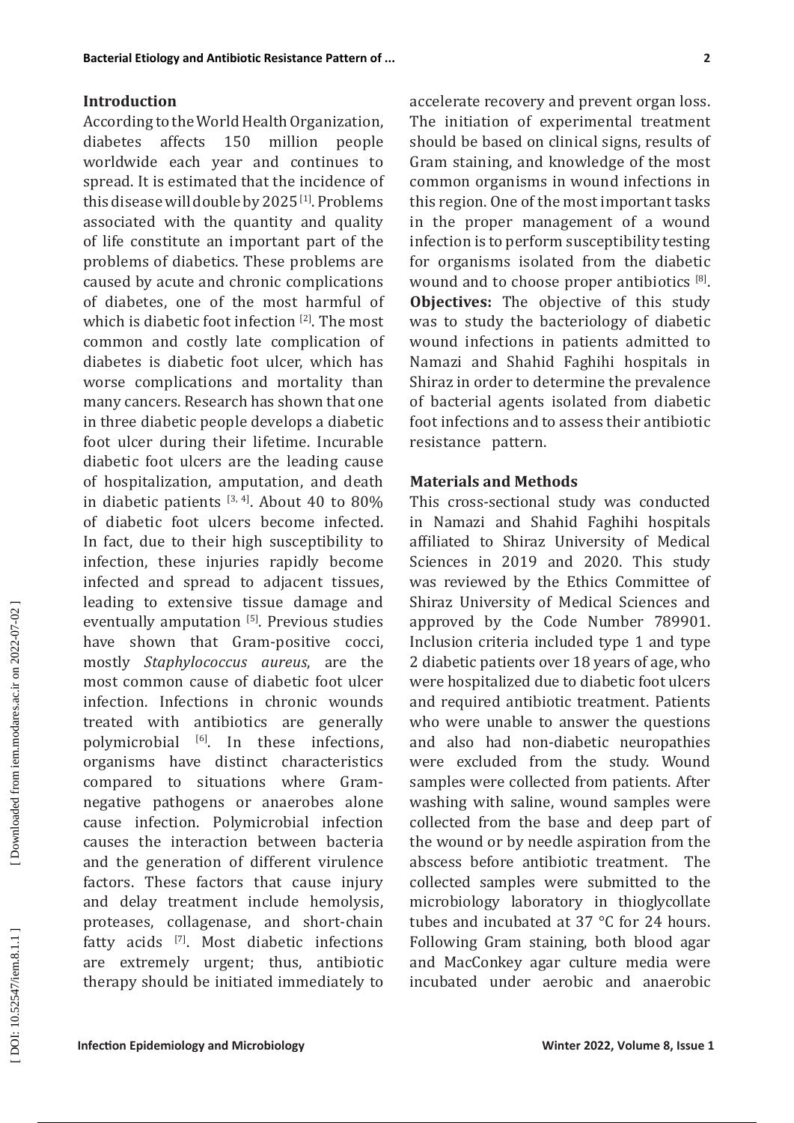## **Introduction**

**Insteriol Etiology and Antibiotis Resinance Pattern of**<br> **Incredition** Concerning the World Health Organization, The initiation of experimental treatment<br> **Incredition** Encode a filtern of contribution is even to contribu According to the World Health Organization,<br>diabetes affects 150 million people diabetes affects 150 million worldwide each year and continues to spread. It is estimated that the incidence of this disease will double by 2025<sup>[1]</sup>. Problems associated with the quantity and quality of life constitute an important part of the problems of diabetics. These problems are caused by acute and chronic complications of diabetes, one of the most harmful of which is diabetic foot infection  $\frac{1}{2}$ . The most common and costly late complication of diabetes is diabetic foot ulcer, which has worse complications and mortality than many cancers. Research has shown that one in three diabetic people develops a diabetic foot ulcer during their lifetime. Incurable diabetic foot ulcers are the leading cause of hospitalization, amputation, and death in diabetic patients  $^{[3,4]}$ . About 40 to 80% of diabetic foot ulcers become infected. In fact, due to their high susceptibility to infection, these injuries rapidly become infected and spread to adjacent tissues, leading to extensive tissue damage and eventually amputation [ 5 ] . Previous studies have shown that Gram-positive cocci, mostly *Staphylococcus aureus*, are the most common cause of diabetic foot ulcer infection. Infections in chronic wounds treated with antibiotics are generally polymicrobial [ 6 ] . In these infections, organisms have distinct characteristics compared to situations where Gramnegative pathogens or anaerobes alone cause infection. Polymicrobial infection causes the interaction between bacteria and the generation of different virulence factors. These factors that cause injury and delay treatment include hemolysis, proteases, collagenase, and short-chain fatty acids  $\mathbb{P}$ . Most diabetic infections are extremely urgent; thus, antibiotic therapy should be initiated immediately to

accelerate recovery and prevent organ loss. The initiation of experimental treatment should be based on clinical signs, results of Gram staining, and knowledge of the most common organisms in wound infections in this region. One of the most important tasks in the proper management of a wound infection is to perform susceptibility testing for organisms isolated from the diabetic wound and to choose proper antibiotics  $^{[8]}$ . **Objectives:** The objective of this study was to study the bacteriology of diabetic wound infections in patients admitted to Namazi and Shahid Faghihi hospitals in Shiraz in order to determine the prevalence of bacterial agents isolated from diabetic foot infections and to assess their antibiotic resistance pattern.

## **Materials and Methods**

This cross-sectional study was conducted in Namazi and Shahid Faghihi hospitals affiliated to Shiraz University of Medical Sciences in 2019 and 2020. This study was reviewed by the Ethics Committee of Shiraz University of Medical Sciences and approved by the Code Number 789901. Inclusion criteria included type 1 and type 2 diabetic patients over 18 years of age, who were hospitalized due to diabetic foot ulcers and required antibiotic treatment. Patients who were unable to answer the questions and also had non-diabetic neuropathies were excluded from the study. Wound samples were collected from patients. After washing with saline, wound samples were collected from the base and deep part of the wound or by needle aspiration from the abscess before antibiotic treatment. The collected samples were submitted to the microbiology laboratory in thioglycollate tubes and incubated at 37 °C for 24 hours. Following Gram staining, both blood agar and MacConkey agar culture media were incubated under aerobic and anaerobic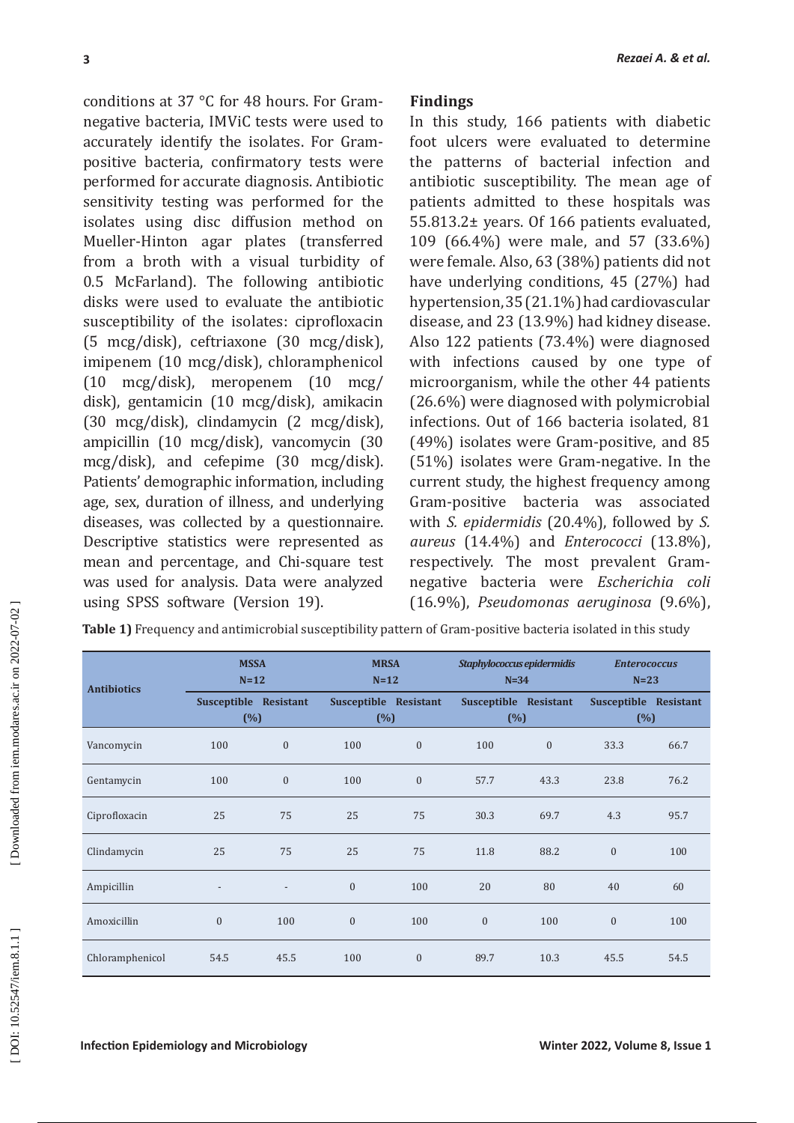## **Findings**

| 3                                                                                                                                                                                                                                                                                                                                                                                                                                                                                                                                                                                                                                                                                                                                                                                                                                                                                                                                                                                                                                                                                                                                                                                                                                                                                                                                            |                                 |                  |                                 |                  |                                        |                  |                                                                                                                                                                                                                                                                                                                                                                                                                                                                                                                                                                                                                                                                                                                                                                                                                                                                                                                                                                                                                                                                                                                                                        | Rezaei A. & et al. |
|----------------------------------------------------------------------------------------------------------------------------------------------------------------------------------------------------------------------------------------------------------------------------------------------------------------------------------------------------------------------------------------------------------------------------------------------------------------------------------------------------------------------------------------------------------------------------------------------------------------------------------------------------------------------------------------------------------------------------------------------------------------------------------------------------------------------------------------------------------------------------------------------------------------------------------------------------------------------------------------------------------------------------------------------------------------------------------------------------------------------------------------------------------------------------------------------------------------------------------------------------------------------------------------------------------------------------------------------|---------------------------------|------------------|---------------------------------|------------------|----------------------------------------|------------------|--------------------------------------------------------------------------------------------------------------------------------------------------------------------------------------------------------------------------------------------------------------------------------------------------------------------------------------------------------------------------------------------------------------------------------------------------------------------------------------------------------------------------------------------------------------------------------------------------------------------------------------------------------------------------------------------------------------------------------------------------------------------------------------------------------------------------------------------------------------------------------------------------------------------------------------------------------------------------------------------------------------------------------------------------------------------------------------------------------------------------------------------------------|--------------------|
| conditions at 37 °C for 48 hours. For Gram-<br>negative bacteria, IMViC tests were used to<br>accurately identify the isolates. For Gram-<br>positive bacteria, confirmatory tests were<br>performed for accurate diagnosis. Antibiotic<br>sensitivity testing was performed for the<br>isolates using disc diffusion method on<br>Mueller-Hinton agar plates (transferred<br>from a broth with a visual turbidity of<br>0.5 McFarland). The following antibiotic<br>disks were used to evaluate the antibiotic<br>susceptibility of the isolates: ciprofloxacin<br>(5 mcg/disk), ceftriaxone (30 mcg/disk),<br>imipenem (10 mcg/disk), chloramphenicol<br>$(10 \text{ mcg/disk})$ , meropenem $(10 \text{ mcg}/$<br>disk), gentamicin (10 mcg/disk), amikacin<br>(30 mcg/disk), clindamycin (2 mcg/disk),<br>ampicillin (10 mcg/disk), vancomycin (30<br>mcg/disk), and cefepime (30 mcg/disk).<br>Patients' demographic information, including<br>age, sex, duration of illness, and underlying<br>diseases, was collected by a questionnaire.<br>Descriptive statistics were represented as<br>mean and percentage, and Chi-square test<br>was used for analysis. Data were analyzed<br>using SPSS software (Version 19).<br>Table 1) Frequency and antimicrobial susceptibility pattern of Gram-positive bacteria isolated in this study |                                 |                  |                                 | <b>Findings</b>  |                                        |                  | In this study, 166 patients with diabetic<br>foot ulcers were evaluated to determine<br>the patterns of bacterial infection and<br>antibiotic susceptibility. The mean age of<br>patients admitted to these hospitals was<br>55.813.2± years. Of 166 patients evaluated,<br>109 (66.4%) were male, and 57 (33.6%)<br>were female. Also, 63 (38%) patients did not<br>have underlying conditions, 45 (27%) had<br>hypertension, 35 (21.1%) had cardiovascular<br>disease, and 23 (13.9%) had kidney disease.<br>Also 122 patients (73.4%) were diagnosed<br>with infections caused by one type of<br>microorganism, while the other 44 patients<br>(26.6%) were diagnosed with polymicrobial<br>infections. Out of 166 bacteria isolated, 81<br>(49%) isolates were Gram-positive, and 85<br>(51%) isolates were Gram-negative. In the<br>current study, the highest frequency among<br>Gram-positive bacteria was associated<br>with S. epidermidis (20.4%), followed by S.<br>aureus (14.4%) and Enterococci (13.8%),<br>respectively. The most prevalent Gram-<br>negative bacteria were Escherichia coli<br>(16.9%), Pseudomonas aeruginosa (9.6%), |                    |
|                                                                                                                                                                                                                                                                                                                                                                                                                                                                                                                                                                                                                                                                                                                                                                                                                                                                                                                                                                                                                                                                                                                                                                                                                                                                                                                                              | <b>MSSA</b>                     |                  | <b>MRSA</b>                     |                  | Staphylococcus epidermidis             |                  | <b>Enterococcus</b>                                                                                                                                                                                                                                                                                                                                                                                                                                                                                                                                                                                                                                                                                                                                                                                                                                                                                                                                                                                                                                                                                                                                    |                    |
| <b>Antibiotics</b>                                                                                                                                                                                                                                                                                                                                                                                                                                                                                                                                                                                                                                                                                                                                                                                                                                                                                                                                                                                                                                                                                                                                                                                                                                                                                                                           | $N=12$<br>Susceptible Resistant |                  | $N=12$<br>Susceptible Resistant |                  | $N=34$<br><b>Susceptible Resistant</b> |                  | $N=23$<br>Susceptible Resistant                                                                                                                                                                                                                                                                                                                                                                                                                                                                                                                                                                                                                                                                                                                                                                                                                                                                                                                                                                                                                                                                                                                        |                    |
|                                                                                                                                                                                                                                                                                                                                                                                                                                                                                                                                                                                                                                                                                                                                                                                                                                                                                                                                                                                                                                                                                                                                                                                                                                                                                                                                              |                                 | (%)              | (%)                             |                  |                                        | (%)              | (%)                                                                                                                                                                                                                                                                                                                                                                                                                                                                                                                                                                                                                                                                                                                                                                                                                                                                                                                                                                                                                                                                                                                                                    |                    |
| Vancomycin                                                                                                                                                                                                                                                                                                                                                                                                                                                                                                                                                                                                                                                                                                                                                                                                                                                                                                                                                                                                                                                                                                                                                                                                                                                                                                                                   | 100                             | $\boldsymbol{0}$ | 100                             | $\boldsymbol{0}$ | 100                                    | $\boldsymbol{0}$ | 33.3                                                                                                                                                                                                                                                                                                                                                                                                                                                                                                                                                                                                                                                                                                                                                                                                                                                                                                                                                                                                                                                                                                                                                   | 66.7               |
| Gentamycin                                                                                                                                                                                                                                                                                                                                                                                                                                                                                                                                                                                                                                                                                                                                                                                                                                                                                                                                                                                                                                                                                                                                                                                                                                                                                                                                   | 100                             | $\boldsymbol{0}$ | 100                             | $\boldsymbol{0}$ | 57.7                                   | 43.3             | 23.8                                                                                                                                                                                                                                                                                                                                                                                                                                                                                                                                                                                                                                                                                                                                                                                                                                                                                                                                                                                                                                                                                                                                                   | 76.2               |
| Ciprofloxacin                                                                                                                                                                                                                                                                                                                                                                                                                                                                                                                                                                                                                                                                                                                                                                                                                                                                                                                                                                                                                                                                                                                                                                                                                                                                                                                                | 25                              | 75               | 25                              | 75               | 30.3                                   | 69.7             | 4.3                                                                                                                                                                                                                                                                                                                                                                                                                                                                                                                                                                                                                                                                                                                                                                                                                                                                                                                                                                                                                                                                                                                                                    | 95.7               |
| Clindamycin                                                                                                                                                                                                                                                                                                                                                                                                                                                                                                                                                                                                                                                                                                                                                                                                                                                                                                                                                                                                                                                                                                                                                                                                                                                                                                                                  | 25                              | 75               | 25                              | 75               | 11.8                                   | 88.2             | $\boldsymbol{0}$                                                                                                                                                                                                                                                                                                                                                                                                                                                                                                                                                                                                                                                                                                                                                                                                                                                                                                                                                                                                                                                                                                                                       | 100                |
| Ampicillin                                                                                                                                                                                                                                                                                                                                                                                                                                                                                                                                                                                                                                                                                                                                                                                                                                                                                                                                                                                                                                                                                                                                                                                                                                                                                                                                   |                                 |                  | $\boldsymbol{0}$                | 100              | 20                                     | 80               | 40                                                                                                                                                                                                                                                                                                                                                                                                                                                                                                                                                                                                                                                                                                                                                                                                                                                                                                                                                                                                                                                                                                                                                     | 60                 |
| Amoxicillin                                                                                                                                                                                                                                                                                                                                                                                                                                                                                                                                                                                                                                                                                                                                                                                                                                                                                                                                                                                                                                                                                                                                                                                                                                                                                                                                  | $\boldsymbol{0}$                | 100              | $\boldsymbol{0}$                | 100              | $\boldsymbol{0}$                       | 100              | $\boldsymbol{0}$                                                                                                                                                                                                                                                                                                                                                                                                                                                                                                                                                                                                                                                                                                                                                                                                                                                                                                                                                                                                                                                                                                                                       | 100                |
| Chloramphenicol                                                                                                                                                                                                                                                                                                                                                                                                                                                                                                                                                                                                                                                                                                                                                                                                                                                                                                                                                                                                                                                                                                                                                                                                                                                                                                                              | 54.5                            | 45.5             | 100                             | $\boldsymbol{0}$ | 89.7                                   | 10.3             | 45.5                                                                                                                                                                                                                                                                                                                                                                                                                                                                                                                                                                                                                                                                                                                                                                                                                                                                                                                                                                                                                                                                                                                                                   | 54.5               |
| <b>Infection Epidemiology and Microbiology</b>                                                                                                                                                                                                                                                                                                                                                                                                                                                                                                                                                                                                                                                                                                                                                                                                                                                                                                                                                                                                                                                                                                                                                                                                                                                                                               |                                 |                  |                                 |                  |                                        |                  | Winter 2022, Volume 8, Issue 1                                                                                                                                                                                                                                                                                                                                                                                                                                                                                                                                                                                                                                                                                                                                                                                                                                                                                                                                                                                                                                                                                                                         |                    |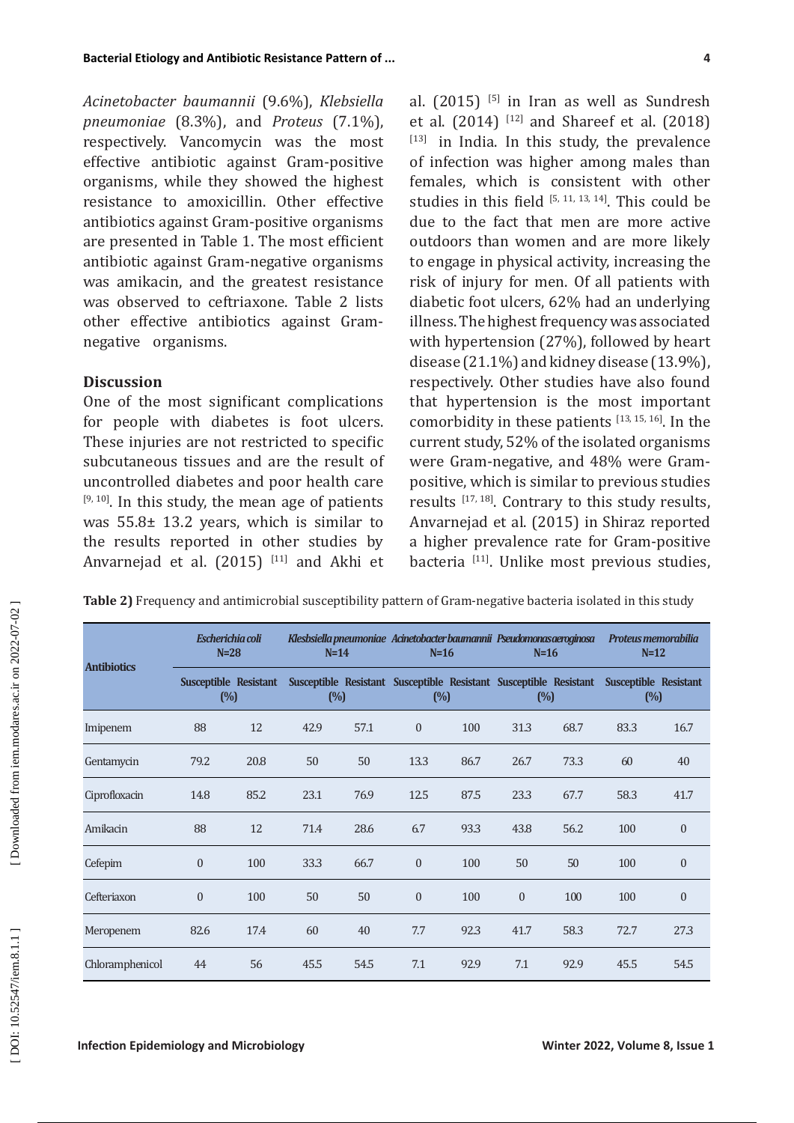## **Discussion**

| Table 2) Frequency and antimicrobial susceptibility pattern of Gram-negative bacteria isolated in this study |  |
|--------------------------------------------------------------------------------------------------------------|--|
|--------------------------------------------------------------------------------------------------------------|--|

| Bacterial Etiology and Antibiotic Resistance Pattern of                                                                                                                                                                                                                                                                                                                                                                                                                                                                                                                                                        |                            |                              |                                                                                                              |        |                                                                                                                                                                                                                                                                                                                                                                                                                                                                                                                                                                                                                                                                                                                                                  |      |                  |      |        | 4                                                    |  |
|----------------------------------------------------------------------------------------------------------------------------------------------------------------------------------------------------------------------------------------------------------------------------------------------------------------------------------------------------------------------------------------------------------------------------------------------------------------------------------------------------------------------------------------------------------------------------------------------------------------|----------------------------|------------------------------|--------------------------------------------------------------------------------------------------------------|--------|--------------------------------------------------------------------------------------------------------------------------------------------------------------------------------------------------------------------------------------------------------------------------------------------------------------------------------------------------------------------------------------------------------------------------------------------------------------------------------------------------------------------------------------------------------------------------------------------------------------------------------------------------------------------------------------------------------------------------------------------------|------|------------------|------|--------|------------------------------------------------------|--|
| Acinetobacter baumannii (9.6%), Klebsiella<br>pneumoniae $(8.3\%)$ , and Proteus $(7.1\%)$ ,<br>respectively. Vancomycin was the most<br>effective antibiotic against Gram-positive<br>organisms, while they showed the highest<br>resistance to amoxicillin. Other effective<br>antibiotics against Gram-positive organisms<br>are presented in Table 1. The most efficient<br>antibiotic against Gram-negative organisms<br>was amikacin, and the greatest resistance<br>was observed to ceftriaxone. Table 2 lists<br>other effective antibiotics against Gram-<br>negative organisms.<br><b>Discussion</b> |                            |                              |                                                                                                              |        | al. (2015) [5] in Iran as well as Sundresh<br>et al. $(2014)$ <sup>[12]</sup> and Shareef et al. $(2018)$<br>[13] in India. In this study, the prevalence<br>of infection was higher among males than<br>females, which is consistent with other<br>studies in this field $[5, 11, 13, 14]$ . This could be<br>due to the fact that men are more active<br>outdoors than women and are more likely<br>to engage in physical activity, increasing the<br>risk of injury for men. Of all patients with<br>diabetic foot ulcers, 62% had an underlying<br>illness. The highest frequency was associated<br>with hypertension (27%), followed by heart<br>disease (21.1%) and kidney disease (13.9%),<br>respectively. Other studies have also found |      |                  |      |        |                                                      |  |
| One of the most significant complications                                                                                                                                                                                                                                                                                                                                                                                                                                                                                                                                                                      |                            |                              |                                                                                                              |        |                                                                                                                                                                                                                                                                                                                                                                                                                                                                                                                                                                                                                                                                                                                                                  |      |                  |      |        | that hypertension is the most important              |  |
| for people with diabetes is foot ulcers.                                                                                                                                                                                                                                                                                                                                                                                                                                                                                                                                                                       |                            |                              |                                                                                                              |        |                                                                                                                                                                                                                                                                                                                                                                                                                                                                                                                                                                                                                                                                                                                                                  |      |                  |      |        | comorbidity in these patients [13, 15, 16]. In the   |  |
| current study, 52% of the isolated organisms<br>These injuries are not restricted to specific<br>subcutaneous tissues and are the result of<br>were Gram-negative, and 48% were Gram-                                                                                                                                                                                                                                                                                                                                                                                                                          |                            |                              |                                                                                                              |        |                                                                                                                                                                                                                                                                                                                                                                                                                                                                                                                                                                                                                                                                                                                                                  |      |                  |      |        |                                                      |  |
| uncontrolled diabetes and poor health care                                                                                                                                                                                                                                                                                                                                                                                                                                                                                                                                                                     |                            |                              |                                                                                                              |        |                                                                                                                                                                                                                                                                                                                                                                                                                                                                                                                                                                                                                                                                                                                                                  |      |                  |      |        | positive, which is similar to previous studies       |  |
| [9, 10]. In this study, the mean age of patients<br>results [17, 18]. Contrary to this study results,<br>Anvarnejad et al. (2015) in Shiraz reported<br>was $55.8\pm 13.2$ years, which is similar to                                                                                                                                                                                                                                                                                                                                                                                                          |                            |                              |                                                                                                              |        |                                                                                                                                                                                                                                                                                                                                                                                                                                                                                                                                                                                                                                                                                                                                                  |      |                  |      |        |                                                      |  |
| the results reported in other studies by<br>a higher prevalence rate for Gram-positive<br>Anvarnejad et al. (2015) [11] and Akhi et                                                                                                                                                                                                                                                                                                                                                                                                                                                                            |                            |                              |                                                                                                              |        |                                                                                                                                                                                                                                                                                                                                                                                                                                                                                                                                                                                                                                                                                                                                                  |      |                  |      |        | bacteria <a>[11]</a> . Unlike most previous studies, |  |
|                                                                                                                                                                                                                                                                                                                                                                                                                                                                                                                                                                                                                |                            |                              |                                                                                                              |        |                                                                                                                                                                                                                                                                                                                                                                                                                                                                                                                                                                                                                                                                                                                                                  |      |                  |      |        |                                                      |  |
| Table 2) Frequency and antimicrobial susceptibility pattern of Gram-negative bacteria isolated in this study                                                                                                                                                                                                                                                                                                                                                                                                                                                                                                   |                            |                              |                                                                                                              |        |                                                                                                                                                                                                                                                                                                                                                                                                                                                                                                                                                                                                                                                                                                                                                  |      |                  |      |        |                                                      |  |
|                                                                                                                                                                                                                                                                                                                                                                                                                                                                                                                                                                                                                | Escherichia coli<br>$N=28$ |                              | Klesbsiella pneumoniae Acinetobacter baumannii Pseudomonas aeroginosa Proteus memorabilia                    |        | $N=14$ $N=16$                                                                                                                                                                                                                                                                                                                                                                                                                                                                                                                                                                                                                                                                                                                                    |      | $N=16$           |      | $N=12$ |                                                      |  |
| <b>Antibiotics</b>                                                                                                                                                                                                                                                                                                                                                                                                                                                                                                                                                                                             |                            | Susceptible Resistant<br>(%) | Susceptible Resistant Susceptible Resistant Susceptible Resistant Susceptible Resistant<br>(%)<br>(%)<br>(%) |        | (%)                                                                                                                                                                                                                                                                                                                                                                                                                                                                                                                                                                                                                                                                                                                                              |      |                  |      |        |                                                      |  |
| Imipenem                                                                                                                                                                                                                                                                                                                                                                                                                                                                                                                                                                                                       | 88                         | 12                           | 42.9                                                                                                         | 57.1   | $\mathbf{0}$                                                                                                                                                                                                                                                                                                                                                                                                                                                                                                                                                                                                                                                                                                                                     | 100  | 31.3             | 68.7 | 83.3   | 16.7                                                 |  |
| Gentamycin                                                                                                                                                                                                                                                                                                                                                                                                                                                                                                                                                                                                     | 79.2                       | 20.8                         | 50                                                                                                           | 50     | 13.3                                                                                                                                                                                                                                                                                                                                                                                                                                                                                                                                                                                                                                                                                                                                             | 86.7 | 26.7             | 73.3 | 60     | 40                                                   |  |
| Ciprofloxacin                                                                                                                                                                                                                                                                                                                                                                                                                                                                                                                                                                                                  | 14.8                       | 85.2                         | 23.1                                                                                                         | 76.9   | 12.5                                                                                                                                                                                                                                                                                                                                                                                                                                                                                                                                                                                                                                                                                                                                             | 87.5 | 23.3             | 67.7 | 58.3   | 41.7                                                 |  |
| Amikacin                                                                                                                                                                                                                                                                                                                                                                                                                                                                                                                                                                                                       | 88                         | $12\,$                       | 71.4                                                                                                         | 28.6   | 6.7                                                                                                                                                                                                                                                                                                                                                                                                                                                                                                                                                                                                                                                                                                                                              | 93.3 | 43.8             | 56.2 | 100    | $\boldsymbol{0}$                                     |  |
| Cefepim                                                                                                                                                                                                                                                                                                                                                                                                                                                                                                                                                                                                        | $\boldsymbol{0}$           | 100                          | 33.3                                                                                                         | 66.7   | $\boldsymbol{0}$                                                                                                                                                                                                                                                                                                                                                                                                                                                                                                                                                                                                                                                                                                                                 | 100  | 50               | 50   | 100    | $\boldsymbol{0}$                                     |  |
| Cefteriaxon                                                                                                                                                                                                                                                                                                                                                                                                                                                                                                                                                                                                    | $\boldsymbol{0}$           | 100                          | 50                                                                                                           | $50\,$ | $\boldsymbol{0}$                                                                                                                                                                                                                                                                                                                                                                                                                                                                                                                                                                                                                                                                                                                                 | 100  | $\boldsymbol{0}$ | 100  | 100    | $\boldsymbol{0}$                                     |  |
| Meropenem                                                                                                                                                                                                                                                                                                                                                                                                                                                                                                                                                                                                      | 82.6                       | 17.4                         | 60                                                                                                           | $40\,$ | 7.7                                                                                                                                                                                                                                                                                                                                                                                                                                                                                                                                                                                                                                                                                                                                              | 92.3 | 41.7             | 58.3 | 72.7   | 27.3                                                 |  |
| Chloramphenicol                                                                                                                                                                                                                                                                                                                                                                                                                                                                                                                                                                                                | 44                         | 56                           | 45.5                                                                                                         | 54.5   | 7.1                                                                                                                                                                                                                                                                                                                                                                                                                                                                                                                                                                                                                                                                                                                                              | 92.9 | $7.1\,$          | 92.9 | 45.5   | 54.5                                                 |  |
|                                                                                                                                                                                                                                                                                                                                                                                                                                                                                                                                                                                                                |                            |                              |                                                                                                              |        |                                                                                                                                                                                                                                                                                                                                                                                                                                                                                                                                                                                                                                                                                                                                                  |      |                  |      |        |                                                      |  |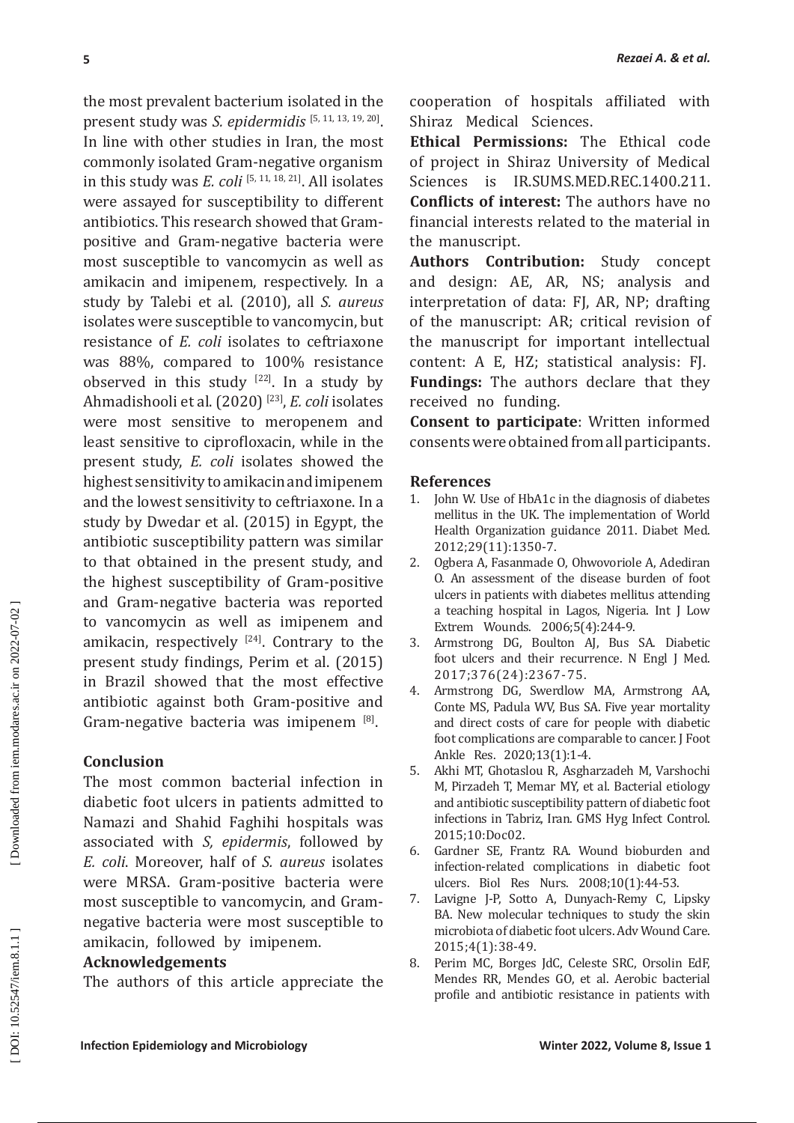**IF the most provident bacterium isolated in the cooperation of hospitals attack wise<br>means that the most provident with the most relation for the most relations. The final bacterium is the most relation to the most relati** the most prevalent bacterium isolated in the present study was *S. epidermidis* [ 5, 11, 13, 19, 20 ] . In line with other studies in Iran, the most commonly isolated Gram-negative organism in this study was *E. coli* [ 5, 11, 18, 21 ] . All isolates were assayed for susceptibility to different antibiotics. This research showed that Grampositive and Gram-negative bacteria were most susceptible to vancomycin as well as amikacin and imipenem, respectively. In a study by Talebi et al. (2010), all *S. aureus* isolates were susceptible to vancomycin, but resistance of *E. coli* isolates to ceftriaxone was 88%, compared to 100% resistance observed in this study  $[22]$ . In a study by Ahmadishooli et al. (2020) [23 ] , *E. coli* isolates were most sensitive to meropenem and least sensitive to ciprofloxacin, while in the present study, *E. coli* isolates showed the highest sensitivity to amikacin and imipenem and the lowest sensitivity to ceftriaxone. In a study by Dwedar et al. (2015) in Egypt, the antibiotic susceptibility pattern was similar to that obtained in the present study, and the highest susceptibility of Gram-positive and Gram-negative bacteria was reported to vancomycin as well as imipenem and amikacin, respectively  $^{[24]}$ . Contrary to the present study findings, Perim et al. (2015) in Brazil showed that the most effective antibiotic against both Gram-positive and Gram-negative bacteria was imipenem [ 8 ] .

# **Conclusion**

The most common bacterial infection in diabetic foot ulcers in patients admitted to Namazi and Shahid Faghihi hospitals was associated with *S, epidermis*, followed by *E. coli*. Moreover, half of *S. aureus* isolates were MRSA. Gram-positive bacteria were most susceptible to vancomycin, and Gramnegative bacteria were most susceptible to amikacin, followed by imipenem.

# **Acknowledgements**

The authors of this article appreciate the

cooperation of hospitals affiliated with Shiraz Medical Sciences.

**Ethical Permissions:** The Ethical code of project in Shiraz University of Medical Sciences is IR.SUMS.MED.REC.1400.211. **Conflicts of interest:** The authors have no financial interests related to the material in the manuscript.

**Authors Contribution:** Study concept and design: AE, AR, NS; analysis and interpretation of data: FJ, AR, NP; drafting of the manuscript: AR; critical revision of the manuscript for important intellectual content: A E, HZ; statistical analysis: FJ. **Fundings:** The authors declare that they received no funding.

**Consent to participate**: Written informed consents were obtained from all participants.

## **References**

- 1. John W. Use of HbA1c in the diagnosis of diabetes mellitus in the UK. The implementation of World Health Organization guidance 2011. Diabet Med. 2012;29(11):1350-7.
- 2. Ogbera A, Fasanmade O, Ohwovoriole A, Adediran O. An assessment of the disease burden of foot ulcers in patients with diabetes mellitus attending a teaching hospital in Lagos, Nigeria. Int J Low Extrem Wounds. 2006;5(4):244-9.
- 3. Armstrong DG, Boulton AJ, Bus SA. Diabetic foot ulcers and their recurrence. N Engl J Med. 2017;376(24):2367-75.
- 4. Armstrong DG, Swerdlow MA, Armstrong AA, Conte MS, Padula WV, Bus SA. Five year mortality and direct costs of care for people with diabetic foot complications are comparable to cancer. J Foot Ankle Res. 2020;13(1):1-4.
- 5. Akhi MT, Ghotaslou R, Asgharzadeh M, Varshochi M, Pirzadeh T, Memar MY, et al. Bacterial etiology and antibiotic susceptibility pattern of diabetic foot infections in Tabriz, Iran. GMS Hyg Infect Control. 2015;10:Doc02.
- 6. Gardner SE, Frantz RA. Wound bioburden and infection-related complications in diabetic foot ulcers. Biol Res Nurs. 2008;10(1):44-53.
- 7. Lavigne J-P, Sotto A, Dunyach-Remy C, Lipsky BA. New molecular techniques to study the skin microbiota of diabetic foot ulcers. Adv Wound Care. 2015;4(1):38-49.
- 8. Perim MC, Borges JdC, Celeste SRC, Orsolin EdF, Mendes RR, Mendes GO, et al. Aerobic bacterial profile and antibiotic resistance in patients with